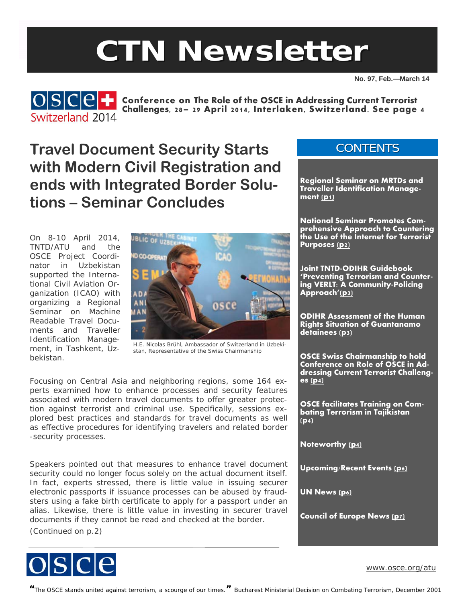# **CTN Newsletter**

**No. 97, Feb.—March 14** 

**CONTENTS** 



**COSCE** : Conference on The Role of the OSCE in Addressing Current Terrorist **Challenges, 28– 29 April 2014, Interlaken, Switzerland. See page 4**

**Travel Document Security Starts with Modern Civil Registration and ends with Integrated Border Solutions – Seminar Concludes** 

On 8-10 April 2014, TNTD/ATU and the OSCE Project Coordinator in Uzbekistan supported the International Civil Aviation Organization (ICAO) with organizing a *Regional Seminar on Machine Readable Travel Documents and Traveller Identification Management*, in Tashkent, Uzbekistan.



H.E. Nicolas Brühl, Ambassador of Switzerland in Uzbekistan, Representative of the Swiss Chairmanship

Focusing on Central Asia and neighboring regions, some 164 experts examined how to enhance processes and security features associated with modern travel documents to offer greater protection against terrorist and criminal use. Specifically, sessions explored best practices and standards for travel documents as well as effective procedures for identifying travelers and related border -security processes.

Speakers pointed out that measures to enhance travel document security could no longer focus solely on the actual document itself. In fact, experts stressed, there is little value in issuing securer electronic passports if issuance processes can be abused by fraudsters using a fake birth certificate to apply for a passport under an alias. Likewise, there is little value in investing in securer travel documents if they cannot be read and checked at the border.

(Continued on p.2)







[www.osce.org/atu](http://www.osce.org/atu)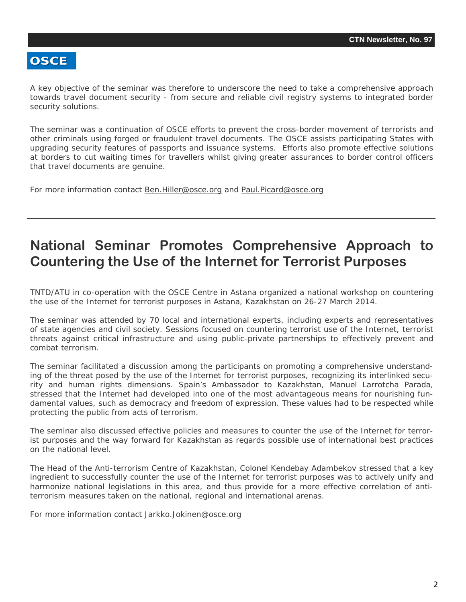#### <span id="page-1-0"></span>**OSCE**

A key objective of the seminar was therefore to underscore the need to take a comprehensive approach towards travel document security - from secure and reliable civil registry systems to integrated border security solutions.

The seminar was a continuation of OSCE efforts to prevent the cross-border movement of terrorists and other criminals using forged or fraudulent travel documents. The OSCE assists participating States with upgrading security features of passports and issuance systems. Efforts also promote effective solutions at borders to cut waiting times for travellers whilst giving greater assurances to border control officers that travel documents are genuine.

For more information contact [Ben.Hiller@osce.org](mailto:Ben.Hiller@osce.org) and [Paul.Picard@osce.org](mailto:Paul.Picard@osce.org)

## **National Seminar Promotes Comprehensive Approach to Countering the Use of the Internet for Terrorist Purposes**

TNTD/ATU in co-operation with the OSCE Centre in Astana organized a national workshop on countering the use of the Internet for terrorist purposes in Astana, Kazakhstan on 26-27 March 2014.

The seminar was attended by 70 local and international experts, including experts and representatives of state agencies and civil society. Sessions focused on countering terrorist use of the Internet, terrorist threats against critical infrastructure and using public-private partnerships to effectively prevent and combat terrorism.

The seminar facilitated a discussion among the participants on promoting a comprehensive understanding of the threat posed by the use of the Internet for terrorist purposes, recognizing its interlinked security and human rights dimensions. Spain's Ambassador to Kazakhstan, Manuel Larrotcha Parada, stressed that the Internet had developed into one of the most advantageous means for nourishing fundamental values, such as democracy and freedom of expression. These values had to be respected while protecting the public from acts of terrorism.

The seminar also discussed effective policies and measures to counter the use of the Internet for terrorist purposes and the way forward for Kazakhstan as regards possible use of international best practices on the national level.

The Head of the Anti-terrorism Centre of Kazakhstan, Colonel Kendebay Adambekov stressed that a key ingredient to successfully counter the use of the Internet for terrorist purposes was to actively unify and harmonize national legislations in this area, and thus provide for a more effective correlation of antiterrorism measures taken on the national, regional and international arenas.

For more information contact [Jarkko.Jokinen@osce.org](mailto:Jarkko.Jokinen@osce.org)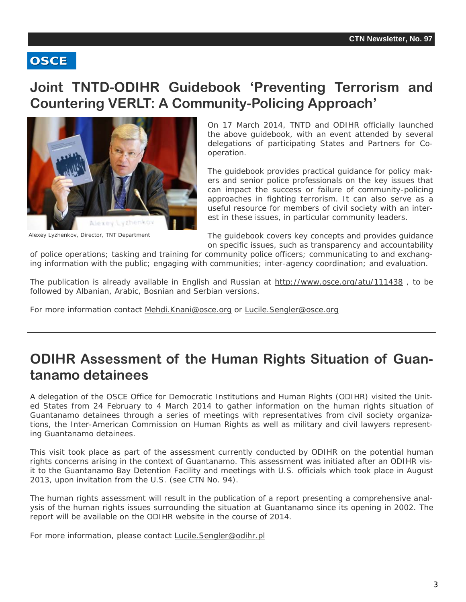#### <span id="page-2-0"></span>**OSCE**

### **Joint TNTD-ODIHR Guidebook 'Preventing Terrorism and Countering VERLT: A Community-Policing Approach'**



Alexey Lyzhenkov, Director, TNT Department

On 17 March 2014, TNTD and ODIHR officially launched the above guidebook, with an event attended by several delegations of participating States and Partners for Cooperation.

The guidebook provides practical guidance for policy makers and senior police professionals on the key issues that can impact the success or failure of community-policing approaches in fighting terrorism. It can also serve as a useful resource for members of civil society with an interest in these issues, in particular community leaders.

The guidebook covers key concepts and provides guidance on specific issues, such as transparency and accountability

of police operations; tasking and training for community police officers; communicating to and exchanging information with the public; engaging with communities; inter-agency coordination; and evaluation.

The publication is already available in English and Russian at <http://www.osce.org/atu/111438> , to be followed by Albanian, Arabic, Bosnian and Serbian versions.

For more information contact [Mehdi.Knani@osce.org](mailto:Mehdi.Knani@osce.org) or [Lucile.Sengler@osce.org](mailto:Lucile.Sengler@osce.org)

## **ODIHR Assessment of the Human Rights Situation of Guantanamo detainees**

A delegation of the OSCE Office for Democratic Institutions and Human Rights (ODIHR) visited the United States from 24 February to 4 March 2014 to gather information on the human rights situation of Guantanamo detainees through a series of meetings with representatives from civil society organizations, the Inter-American Commission on Human Rights as well as military and civil lawyers representing Guantanamo detainees.

This visit took place as part of the assessment currently conducted by ODIHR on the potential human rights concerns arising in the context of Guantanamo. This assessment was initiated after an ODIHR visit to the Guantanamo Bay Detention Facility and meetings with U.S. officials which took place in August 2013, upon invitation from the U.S. (see CTN No. 94).

The human rights assessment will result in the publication of a report presenting a comprehensive analysis of the human rights issues surrounding the situation at Guantanamo since its opening in 2002. The report will be available on the ODIHR website in the course of 2014.

For more information, please contact [Lucile.Sengler@odihr.pl](mailto:Lucile.Sengler@odihr.pl)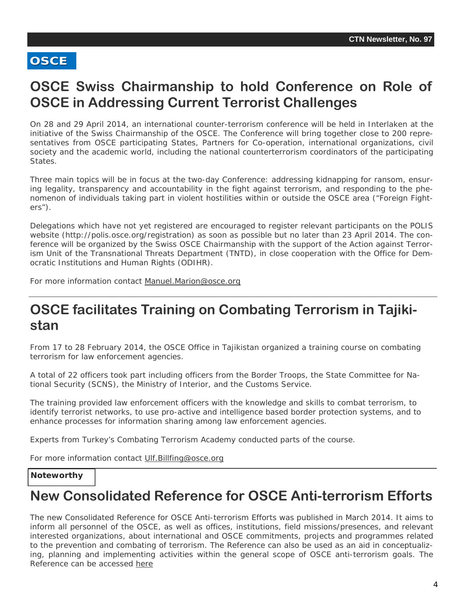#### <span id="page-3-0"></span>**OSCE**

## **OSCE Swiss Chairmanship to hold Conference on Role of OSCE in Addressing Current Terrorist Challenges**

On 28 and 29 April 2014, an international counter-terrorism conference will be held in Interlaken at the initiative of the Swiss Chairmanship of the OSCE. The Conference will bring together close to 200 representatives from OSCE participating States, Partners for Co-operation, international organizations, civil society and the academic world, including the national counterterrorism coordinators of the participating States.

Three main topics will be in focus at the two-day Conference: addressing kidnapping for ransom, ensuring legality, transparency and accountability in the fight against terrorism, and responding to the phenomenon of individuals taking part in violent hostilities within or outside the OSCE area ("Foreign Fighters").

Delegations which have not yet registered are encouraged to register relevant participants on the POLIS website (http://polis.osce.org/registration) as soon as possible but no later than 23 April 2014. The conference will be organized by the Swiss OSCE Chairmanship with the support of the Action against Terrorism Unit of the Transnational Threats Department (TNTD), in close cooperation with the Office for Democratic Institutions and Human Rights (ODIHR).

For more information contact [Manuel.Marion@osce.org](mailto:Manuel.Marion@osce.org)

### **OSCE facilitates Training on Combating Terrorism in Tajikistan**

From 17 to 28 February 2014, the OSCE Office in Tajikistan organized a training course on combating terrorism for law enforcement agencies.

A total of 22 officers took part including officers from the Border Troops, the State Committee for National Security (SCNS), the Ministry of Interior, and the Customs Service.

The training provided law enforcement officers with the knowledge and skills to combat terrorism, to identify terrorist networks, to use pro-active and intelligence based border protection systems, and to enhance processes for information sharing among law enforcement agencies.

Experts from Turkey's Combating Terrorism Academy conducted parts of the course.

For more information contact [Ulf.Billfing@osce.org](mailto:Ulf.Billfing@osce.org) 

#### **Noteworthy**

#### **New Consolidated Reference for OSCE Anti-terrorism Efforts**

 ing, planning and implementing activities within the general scope of OSCE anti-terrorism goals. The The new Consolidated Reference for OSCE Anti-terrorism Efforts was published in March 2014. It aims to inform all personnel of the OSCE, as well as offices, institutions, field missions/presences, and relevant interested organizations, about international and OSCE commitments, projects and programmes related to the prevention and combating of terrorism. The Reference can also be used as an aid in conceptualiz-Reference can be accessed [here](http://www.osce.org/secretariat/99765)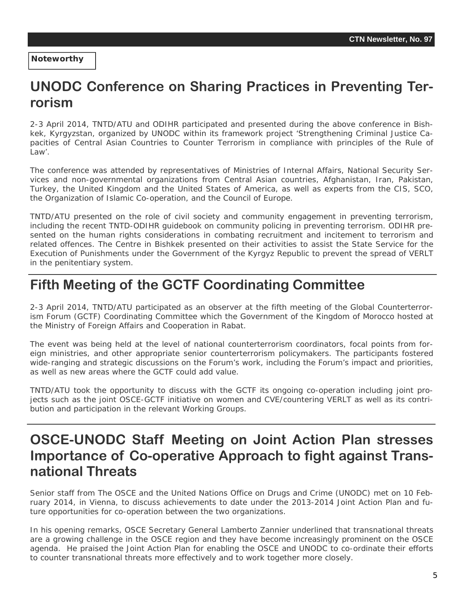**Noteworthy** 

# **UNODC Conference on Sharing Practices in Preventing Terrorism**

2-3 April 2014, TNTD/ATU and ODIHR participated and presented during the above conference in Bishkek, Kyrgyzstan, organized by UNODC within its framework project 'Strengthening Criminal Justice Capacities of Central Asian Countries to Counter Terrorism in compliance with principles of the Rule of Law'.

The conference was attended by representatives of Ministries of Internal Affairs, National Security Services and non-governmental organizations from Central Asian countries, Afghanistan, Iran, Pakistan, Turkey, the United Kingdom and the United States of America, as well as experts from the CIS, SCO, the Organization of Islamic Co-operation, and the Council of Europe.

TNTD/ATU presented on the role of civil society and community engagement in preventing terrorism, including the recent TNTD-ODIHR guidebook on community policing in preventing terrorism. ODIHR presented on the human rights considerations in combating recruitment and incitement to terrorism and related offences. The Centre in Bishkek presented on their activities to assist the State Service for the Execution of Punishments under the Government of the Kyrgyz Republic to prevent the spread of VERLT in the penitentiary system.

## **Fifth Meeting of the GCTF Coordinating Committee**

2-3 April 2014, TNTD/ATU participated as an observer at the fifth meeting of the Global Counterterrorism Forum (GCTF) Coordinating Committee which the Government of the Kingdom of Morocco hosted at the Ministry of Foreign Affairs and Cooperation in Rabat.

The event was being held at the level of national counterterrorism coordinators, focal points from foreign ministries, and other appropriate senior counterterrorism policymakers. The participants fostered wide-ranging and strategic discussions on the Forum's work, including the Forum's impact and priorities, as well as new areas where the GCTF could add value.

TNTD/ATU took the opportunity to discuss with the GCTF its ongoing co-operation including joint projects such as the joint OSCE-GCTF initiative on women and CVE/countering VERLT as well as its contribution and participation in the relevant Working Groups.

## **OSCE-UNODC Staff Meeting on Joint Action Plan stresses Importance of Co-operative Approach to fight against Transnational Threats**

Senior staff from The OSCE and the United Nations Office on Drugs and Crime (UNODC) met on 10 February 2014, in Vienna, to discuss achievements to date under the 2013-2014 Joint Action Plan and future opportunities for co-operation between the two organizations.

In his opening remarks, OSCE Secretary General Lamberto Zannier underlined that transnational threats are a growing challenge in the OSCE region and they have become increasingly prominent on the OSCE agenda. He praised the Joint Action Plan for enabling the OSCE and UNODC to co-ordinate their efforts to counter transnational threats more effectively and to work together more closely.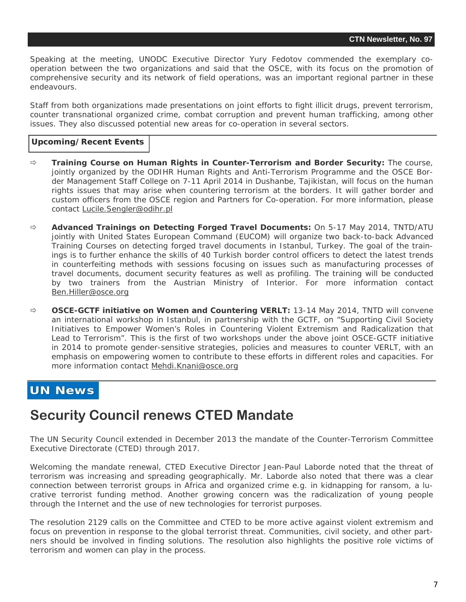<span id="page-5-0"></span>Speaking at the meeting, UNODC Executive Director Yury Fedotov commended the exemplary cooperation between the two organizations and said that the OSCE, with its focus on the promotion of comprehensive security and its network of field operations, was an important regional partner in these endeavours.

Staff from both organizations made presentations on joint efforts to fight illicit drugs, prevent terrorism, counter transnational organized crime, combat corruption and prevent human trafficking, among other issues. They also discussed potential new areas for co-operation in several sectors.

#### **Upcoming/Recent Events**

- **Training Course on Human Rights in Counter-Terrorism and Border Security:** The course, jointly organized by the ODIHR Human Rights and Anti-Terrorism Programme and the OSCE Border Management Staff College on 7-11 April 2014 in Dushanbe, Tajikistan, will focus on the human rights issues that may arise when countering terrorism at the borders. It will gather border and custom officers from the OSCE region and Partners for Co-operation. For more information, please contact [Lucile.Sengler@odihr.pl](mailto:Lucile.Sengler@odihr.pl)
- **Advanced Trainings on Detecting Forged Travel Documents:** On 5-17 May 2014, TNTD/ATU jointly with United States European Command (EUCOM) will organize two back-to-back Advanced Training Courses on detecting forged travel documents in Istanbul, Turkey. The goal of the trainings is to further enhance the skills of 40 Turkish border control officers to detect the latest trends in counterfeiting methods with sessions focusing on issues such as manufacturing processes of travel documents, document security features as well as profiling. The training will be conducted by two trainers from the Austrian Ministry of Interior. For more information contact [Ben.Hiller@osce.org](mailto:Ben.Hiller@osce.org)
- **OSCE-GCTF initiative on Women and Countering VERLT:** 13-14 May 2014, TNTD will convene an international workshop in Istanbul, in partnership with the GCTF, on "Supporting Civil Society Initiatives to Empower Women's Roles in Countering Violent Extremism and Radicalization that Lead to Terrorism". This is the first of two workshops under the above joint OSCE-GCTF initiative in 2014 to promote gender-sensitive strategies, policies and measures to counter VERLT, with an emphasis on empowering women to contribute to these efforts in different roles and capacities. For more information contact [Mehdi.Knani@osce.org](mailto:Mehdi.Knani@osce.org)

#### **UN News UN News**

## **Security Council renews CTED Mandate**

The UN Security Council extended in December 2013 the mandate of the Counter-Terrorism Committee Executive Directorate (CTED) through 2017.

Welcoming the mandate renewal, CTED Executive Director Jean-Paul Laborde noted that the threat of terrorism was increasing and spreading geographically. Mr. Laborde also noted that there was a clear connection between terrorist groups in Africa and organized crime e.g. in kidnapping for ransom, a lucrative terrorist funding method. Another growing concern was the radicalization of young people through the Internet and the use of new technologies for terrorist purposes.

The resolution 2129 calls on the Committee and CTED to be more active against violent extremism and focus on prevention in response to the global terrorist threat. Communities, civil society, and other partners should be involved in finding solutions. The resolution also highlights the positive role victims of terrorism and women can play in the process.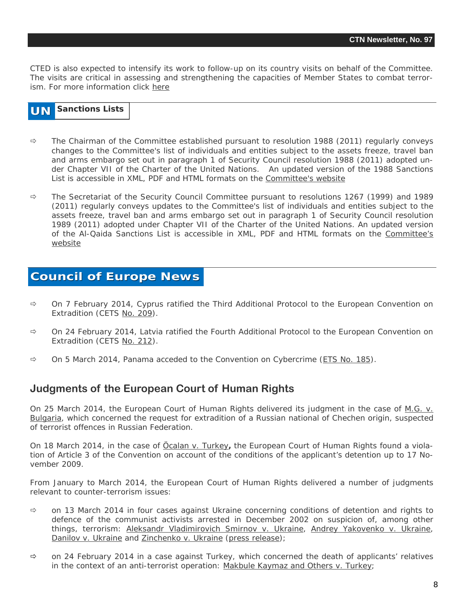CTED is also expected to intensify its work to follow-up on its country visits on behalf of the Committee. The visits are critical in assessing and strengthening the capacities of Member States to combat terrorism. For more information click [here](http://www.un.org/en/sc/ctc/news/2013-12-17_CTED_Mandate_renewal.html) 

#### **UN Sanctions Lists**

- $\Rightarrow$  The Chairman of the Committee established pursuant to resolution 1988 (2011) regularly conveys changes to the Committee's list of individuals and entities subject to the assets freeze, travel ban and arms embargo set out in paragraph 1 of Security Council resolution 1988 (2011) adopted under Chapter VII of the Charter of the United Nations. An updated version of the 1988 Sanctions List is accessible in XML, PDF and HTML formats on the [Committee's website](http://www.un.org/sc/committees/1988/list.shtml)
- $\Rightarrow$  The Secretariat of the Security Council Committee pursuant to resolutions 1267 (1999) and 1989 (2011) regularly conveys updates to the Committee's list of individuals and entities subject to the assets freeze, travel ban and arms embargo set out in paragraph 1 of Security Council resolution 1989 (2011) adopted under Chapter VII of the Charter of the United Nations. An updated version of the Al-Qaida Sanctions List is accessible in XML, PDF and HTML formats on the [Committee's](http://www.un.org/sc/committees/1267/aq_sanctions_list.shtml.) [website](http://www.un.org/sc/committees/1267/aq_sanctions_list.shtml.)

#### **Council of Europe News Council of Europe News**

- $\Rightarrow$  On 7 February 2014, Cyprus ratified the Third Additional Protocol to the European Convention on Extradition (CETS [No. 209](http://conventions.coe.int/Treaty/Commun/QueVoulezVous.asp?NT=209&CM=1&CL=ENG)).
- $\Rightarrow$  On 24 February 2014, Latvia ratified the Fourth Additional Protocol to the European Convention on Extradition (CETS [No. 212](http://conventions.coe.int/Treaty/Commun/QueVoulezVous.asp?NT=212&CM=1&CL=ENG)).
- $\Rightarrow$  On 5 March 2014, Panama acceded to the Convention on Cybercrime ([ETS No. 185\)](http://conventions.coe.int/Treaty/Commun/QueVoulezVous.asp?NT=185&CM=1&CL=ENG).

#### **Judgments of the European Court of Human Rights**

On 25 March 2014, the European Court of Human Rights delivered its judgment in the case of *[M.G. v.](http://hudoc.echr.coe.int/sites/fra-press/pages/search.aspx?i=003-4711513-5720444) [Bulgaria](http://hudoc.echr.coe.int/sites/fra-press/pages/search.aspx?i=003-4711513-5720444)*, which concerned the request for extradition of a Russian national of Chechen origin, suspected of terrorist offences in Russian Federation.

On 18 March 2014, in the case of *[Öcalan v. Turkey](http://hudoc.echr.coe.int/sites/eng-press/pages/search.aspx?i=003-4703714-5709561)***,** the European Court of Human Rights found a violation of Article 3 of the Convention on account of the conditions of the applicant's detention up to 17 November 2009.

From January to March 2014, the European Court of Human Rights delivered a number of judgments relevant to counter-terrorism issues:

- $\Rightarrow$  on 13 March 2014 in four cases against Ukraine concerning conditions of detention and rights to defence of the communist activists arrested in December 2002 on suspicion of, among other things, terrorism: *[Aleksandr Vladimirovich Smirnov v. Ukraine](http://hudoc.echr.coe.int/sites/eng/pages/search.aspx?i=001-141635)*, *[Andrey Yakovenko v. Ukraine](http://hudoc.echr.coe.int/sites/eng/pages/search.aspx?i=001-141632)*, *[Danilov v. Ukraine](http://hudoc.echr.coe.int/sites/eng/pages/search.aspx?i=001-141625)* and *[Zinchenko v. Ukraine](http://hudoc.echr.coe.int/sites/eng/pages/search.aspx?i=001-141633)* ([press release\)](http://hudoc.echr.coe.int/sites/eng-press/pages/search.aspx?i=003-4698122-5701890);
- $\Rightarrow$  on 24 February 2014 in a case against Turkey, which concerned the death of applicants' relatives in the context of an anti-terrorist operation: *[Makbule Kaymaz and Others v. Turkey](http://hudoc.echr.coe.int/sites/eng/pages/search.aspx?i=003-4681401-5677641)*;